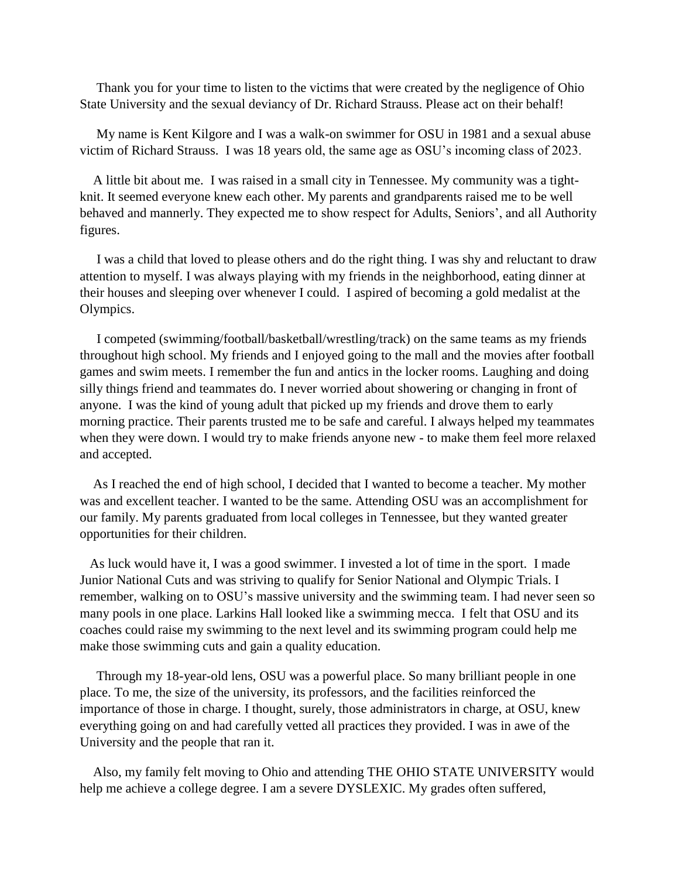Thank you for your time to listen to the victims that were created by the negligence of Ohio State University and the sexual deviancy of Dr. Richard Strauss. Please act on their behalf!

 My name is Kent Kilgore and I was a walk-on swimmer for OSU in 1981 and a sexual abuse victim of Richard Strauss. I was 18 years old, the same age as OSU's incoming class of 2023.

 A little bit about me. I was raised in a small city in Tennessee. My community was a tightknit. It seemed everyone knew each other. My parents and grandparents raised me to be well behaved and mannerly. They expected me to show respect for Adults, Seniors', and all Authority figures.

 I was a child that loved to please others and do the right thing. I was shy and reluctant to draw attention to myself. I was always playing with my friends in the neighborhood, eating dinner at their houses and sleeping over whenever I could. I aspired of becoming a gold medalist at the Olympics.

 I competed (swimming/football/basketball/wrestling/track) on the same teams as my friends throughout high school. My friends and I enjoyed going to the mall and the movies after football games and swim meets. I remember the fun and antics in the locker rooms. Laughing and doing silly things friend and teammates do. I never worried about showering or changing in front of anyone. I was the kind of young adult that picked up my friends and drove them to early morning practice. Their parents trusted me to be safe and careful. I always helped my teammates when they were down. I would try to make friends anyone new - to make them feel more relaxed and accepted.

 As I reached the end of high school, I decided that I wanted to become a teacher. My mother was and excellent teacher. I wanted to be the same. Attending OSU was an accomplishment for our family. My parents graduated from local colleges in Tennessee, but they wanted greater opportunities for their children.

 As luck would have it, I was a good swimmer. I invested a lot of time in the sport. I made Junior National Cuts and was striving to qualify for Senior National and Olympic Trials. I remember, walking on to OSU's massive university and the swimming team. I had never seen so many pools in one place. Larkins Hall looked like a swimming mecca. I felt that OSU and its coaches could raise my swimming to the next level and its swimming program could help me make those swimming cuts and gain a quality education.

 Through my 18-year-old lens, OSU was a powerful place. So many brilliant people in one place. To me, the size of the university, its professors, and the facilities reinforced the importance of those in charge. I thought, surely, those administrators in charge, at OSU, knew everything going on and had carefully vetted all practices they provided. I was in awe of the University and the people that ran it.

 Also, my family felt moving to Ohio and attending THE OHIO STATE UNIVERSITY would help me achieve a college degree. I am a severe DYSLEXIC. My grades often suffered,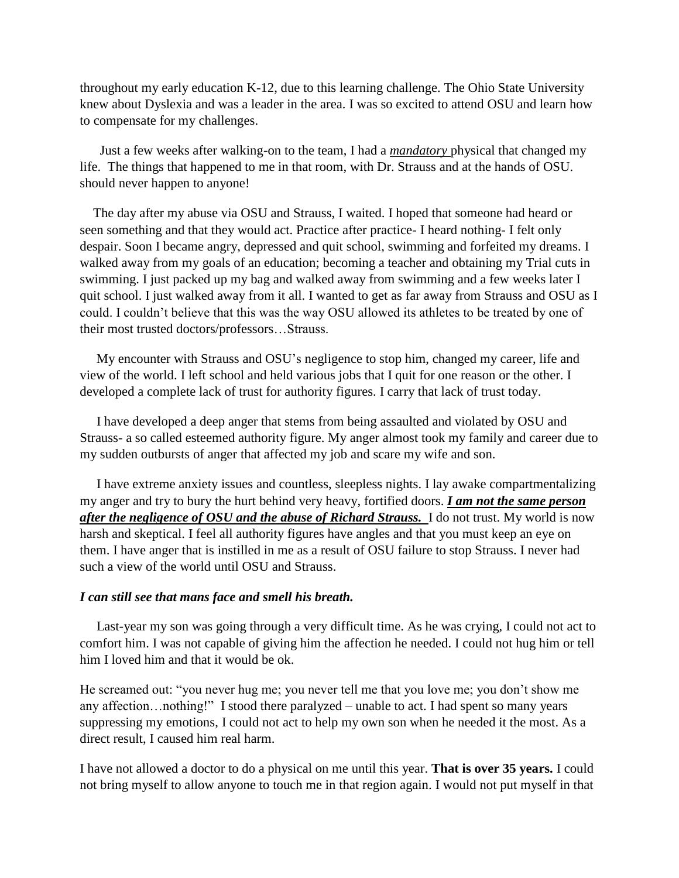throughout my early education K-12, due to this learning challenge. The Ohio State University knew about Dyslexia and was a leader in the area. I was so excited to attend OSU and learn how to compensate for my challenges.

 Just a few weeks after walking-on to the team, I had a *mandatory* physical that changed my life. The things that happened to me in that room, with Dr. Strauss and at the hands of OSU. should never happen to anyone!

 The day after my abuse via OSU and Strauss, I waited. I hoped that someone had heard or seen something and that they would act. Practice after practice- I heard nothing- I felt only despair. Soon I became angry, depressed and quit school, swimming and forfeited my dreams. I walked away from my goals of an education; becoming a teacher and obtaining my Trial cuts in swimming. I just packed up my bag and walked away from swimming and a few weeks later I quit school. I just walked away from it all. I wanted to get as far away from Strauss and OSU as I could. I couldn't believe that this was the way OSU allowed its athletes to be treated by one of their most trusted doctors/professors…Strauss.

 My encounter with Strauss and OSU's negligence to stop him, changed my career, life and view of the world. I left school and held various jobs that I quit for one reason or the other. I developed a complete lack of trust for authority figures. I carry that lack of trust today.

 I have developed a deep anger that stems from being assaulted and violated by OSU and Strauss- a so called esteemed authority figure. My anger almost took my family and career due to my sudden outbursts of anger that affected my job and scare my wife and son.

 I have extreme anxiety issues and countless, sleepless nights. I lay awake compartmentalizing my anger and try to bury the hurt behind very heavy, fortified doors. *I am not the same person after the negligence of OSU and the abuse of Richard Strauss.* I do not trust. My world is now harsh and skeptical. I feel all authority figures have angles and that you must keep an eye on them. I have anger that is instilled in me as a result of OSU failure to stop Strauss. I never had such a view of the world until OSU and Strauss.

## *I can still see that mans face and smell his breath.*

 Last-year my son was going through a very difficult time. As he was crying, I could not act to comfort him. I was not capable of giving him the affection he needed. I could not hug him or tell him I loved him and that it would be ok.

He screamed out: "you never hug me; you never tell me that you love me; you don't show me any affection…nothing!" I stood there paralyzed – unable to act. I had spent so many years suppressing my emotions, I could not act to help my own son when he needed it the most. As a direct result, I caused him real harm.

I have not allowed a doctor to do a physical on me until this year. **That is over 35 years.** I could not bring myself to allow anyone to touch me in that region again. I would not put myself in that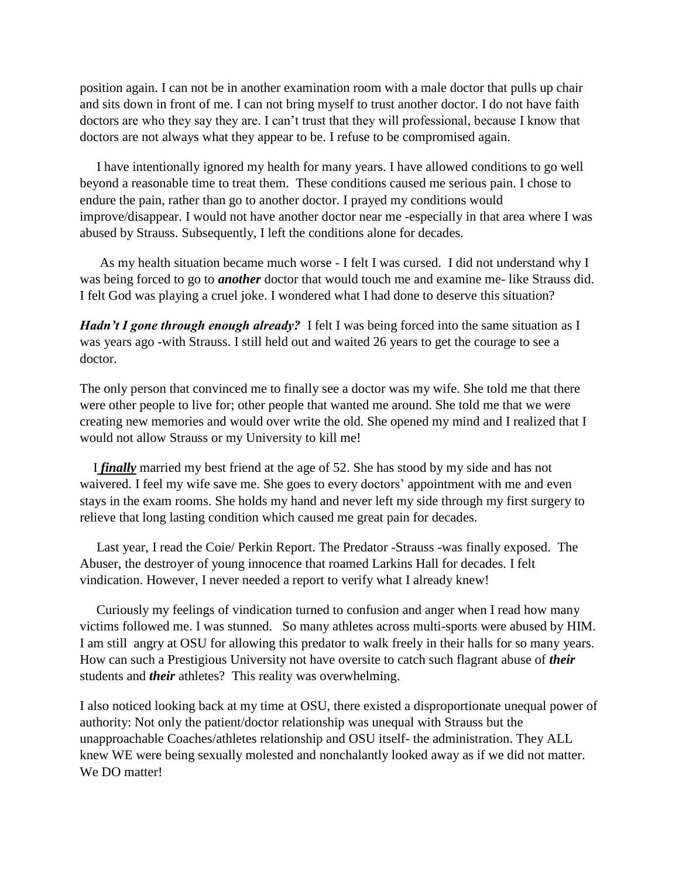position again. I can not be in another examination room with a male doctor that pulls up chair and sits down in front of me. I can not bring myself to trust another doctor. I do not have faith doctors are who they say they are. I can't trust that they will professional, because I know that doctors are not always what they appear to be. I refuse to be compromised again.

 I have intentionally ignored my health for many years. I have allowed conditions to go well beyond a reasonable time to treat them. These conditions caused me serious pain. I chose to endure the pain, rather than go to another doctor. I prayed my conditions would improve/disappear. I would not have another doctor near me -especially in that area where I was abused by Strauss. Subsequently, I left the conditions alone for decades.

 As my health situation became much worse - I felt I was cursed. I did not understand why I was being forced to go to *another* doctor that would touch me and examine me- like Strauss did. I felt God was playing a cruel joke. I wondered what I had done to deserve this situation?

*Hadn't I gone through enough already?* I felt I was being forced into the same situation as I was years ago -with Strauss. I still held out and waited 26 years to get the courage to see a doctor.

The only person that convinced me to finally see a doctor was my wife. She told me that there were other people to live for; other people that wanted me around. She told me that we were creating new memories and would over write the old. She opened my mind and I realized that I would not allow Strauss or my University to kill me!

 I *finally* married my best friend at the age of 52. She has stood by my side and has not waivered. I feel my wife save me. She goes to every doctors' appointment with me and even stays in the exam rooms. She holds my hand and never left my side through my first surgery to relieve that long lasting condition which caused me great pain for decades.

 Last year, I read the Coie/ Perkin Report. The Predator -Strauss -was finally exposed. The Abuser, the destroyer of young innocence that roamed Larkins Hall for decades. I felt vindication. However, I never needed a report to verify what I already knew!

 Curiously my feelings of vindication turned to confusion and anger when I read how many victims followed me. I was stunned. So many athletes across multi-sports were abused by HIM. I am still angry at OSU for allowing this predator to walk freely in their halls for so many years. How can such a Prestigious University not have oversite to catch such flagrant abuse of *their*  students and *their* athletes? This reality was overwhelming.

I also noticed looking back at my time at OSU, there existed a disproportionate unequal power of authority: Not only the patient/doctor relationship was unequal with Strauss but the unapproachable Coaches/athletes relationship and OSU itself- the administration. They ALL knew WE were being sexually molested and nonchalantly looked away as if we did not matter. We DO matter!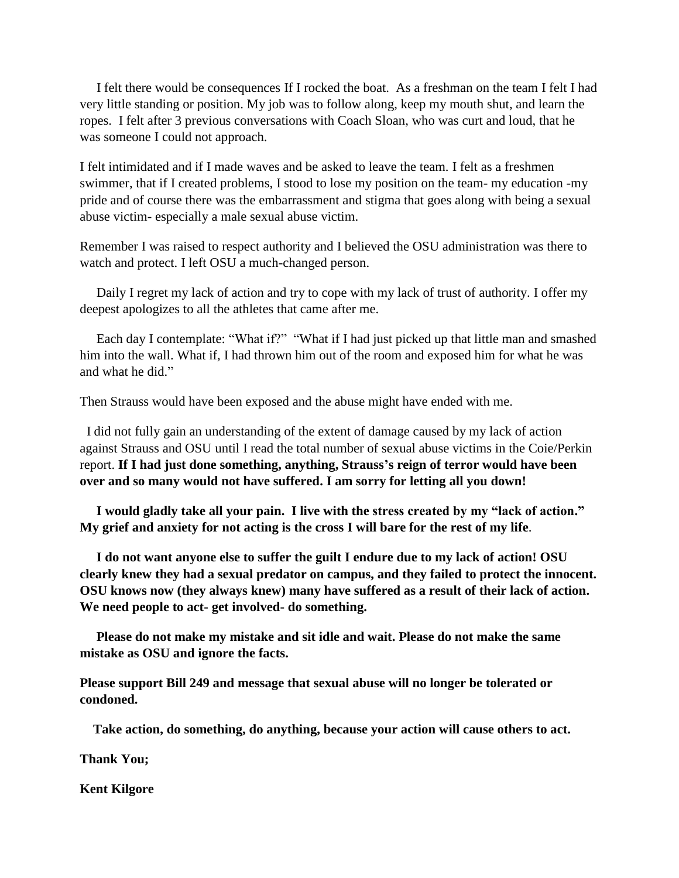I felt there would be consequences If I rocked the boat. As a freshman on the team I felt I had very little standing or position. My job was to follow along, keep my mouth shut, and learn the ropes. I felt after 3 previous conversations with Coach Sloan, who was curt and loud, that he was someone I could not approach.

I felt intimidated and if I made waves and be asked to leave the team. I felt as a freshmen swimmer, that if I created problems, I stood to lose my position on the team- my education -my pride and of course there was the embarrassment and stigma that goes along with being a sexual abuse victim- especially a male sexual abuse victim.

Remember I was raised to respect authority and I believed the OSU administration was there to watch and protect. I left OSU a much-changed person.

 Daily I regret my lack of action and try to cope with my lack of trust of authority. I offer my deepest apologizes to all the athletes that came after me.

 Each day I contemplate: "What if?" "What if I had just picked up that little man and smashed him into the wall. What if, I had thrown him out of the room and exposed him for what he was and what he did."

Then Strauss would have been exposed and the abuse might have ended with me.

 I did not fully gain an understanding of the extent of damage caused by my lack of action against Strauss and OSU until I read the total number of sexual abuse victims in the Coie/Perkin report. **If I had just done something, anything, Strauss's reign of terror would have been over and so many would not have suffered. I am sorry for letting all you down!** 

 **I would gladly take all your pain. I live with the stress created by my "lack of action." My grief and anxiety for not acting is the cross I will bare for the rest of my life**.

 **I do not want anyone else to suffer the guilt I endure due to my lack of action! OSU clearly knew they had a sexual predator on campus, and they failed to protect the innocent. OSU knows now (they always knew) many have suffered as a result of their lack of action. We need people to act- get involved- do something.**

 **Please do not make my mistake and sit idle and wait. Please do not make the same mistake as OSU and ignore the facts.** 

**Please support Bill 249 and message that sexual abuse will no longer be tolerated or condoned.** 

 **Take action, do something, do anything, because your action will cause others to act.** 

**Thank You;**

**Kent Kilgore**